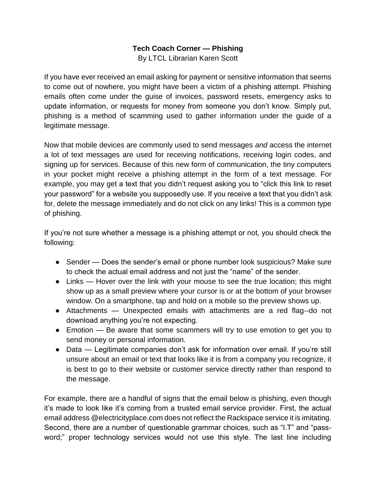## **Tech Coach Corner — Phishing**

By LTCL Librarian Karen Scott

If you have ever received an email asking for payment or sensitive information that seems to come out of nowhere, you might have been a victim of a phishing attempt. Phishing emails often come under the guise of invoices, password resets, emergency asks to update information, or requests for money from someone you don't know. Simply put, phishing is a method of scamming used to gather information under the guide of a legitimate message.

Now that mobile devices are commonly used to send messages *and* access the internet a lot of text messages are used for receiving notifications, receiving login codes, and signing up for services. Because of this new form of communication, the tiny computers in your pocket might receive a phishing attempt in the form of a text message. For example, you may get a text that you didn't request asking you to "click this link to reset your password" for a website you supposedly use. If you receive a text that you didn't ask for, delete the message immediately and do not click on any links! This is a common type of phishing.

If you're not sure whether a message is a phishing attempt or not, you should check the following:

- Sender Does the sender's email or phone number look suspicious? Make sure to check the actual email address and not just the "name" of the sender.
- Links Hover over the link with your mouse to see the true location; this might show up as a small preview where your cursor is or at the bottom of your browser window. On a smartphone, tap and hold on a mobile so the preview shows up.
- Attachments Unexpected emails with attachments are a red flag--do not download anything you're not expecting.
- Emotion Be aware that some scammers will try to use emotion to get you to send money or personal information.
- Data Legitimate companies don't ask for information over email. If you're still unsure about an email or text that looks like it is from a company you recognize, it is best to go to their website or customer service directly rather than respond to the message.

For example, there are a handful of signs that the email below is phishing, even though it's made to look like it's coming from a trusted email service provider. First, the actual email address @electricityplace.com does not reflect the Rackspace service it is imitating. Second, there are a number of questionable grammar choices, such as "I.T" and "password;" proper technology services would not use this style. The last line including